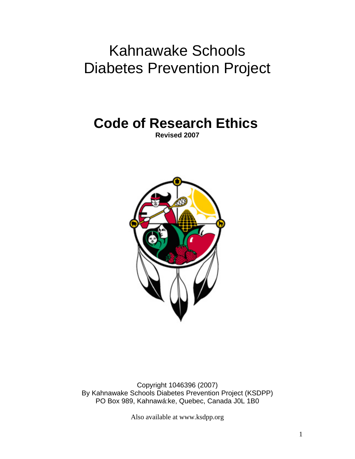# Kahnawake Schools Diabetes Prevention Project

**Code of Research Ethics Revised 2007** 



Copyright 1046396 (2007) By Kahnawake Schools Diabetes Prevention Project (KSDPP) PO Box 989, Kahnawá:ke, Quebec, Canada J0L 1B0

Also available at www.ksdpp.org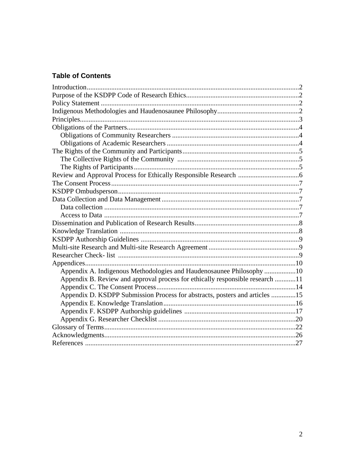# **Table of Contents**

| Appendix A. Indigenous Methodologies and Haudenosaunee Philosophy 10          |  |
|-------------------------------------------------------------------------------|--|
| Appendix B. Review and approval process for ethically responsible research 11 |  |
|                                                                               |  |
| Appendix D. KSDPP Submission Process for abstracts, posters and articles 15   |  |
|                                                                               |  |
|                                                                               |  |
|                                                                               |  |
|                                                                               |  |
|                                                                               |  |
|                                                                               |  |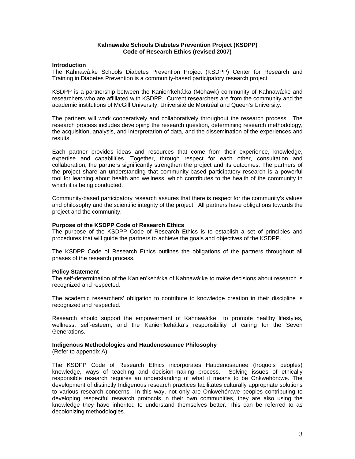#### **Kahnawake Schools Diabetes Prevention Project (KSDPP) Code of Research Ethics (revised 2007)**

#### **Introduction**

The Kahnawá:ke Schools Diabetes Prevention Project (KSDPP) Center for Research and Training in Diabetes Prevention is a community-based participatory research project.

KSDPP is a partnership between the Kanien'kehá:ka (Mohawk) community of Kahnawá:ke and researchers who are affiliated with KSDPP. Current researchers are from the community and the academic institutions of McGill University, Université de Montréal and Queen's University.

The partners will work cooperatively and collaboratively throughout the research process. The research process includes developing the research question, determining research methodology, the acquisition, analysis, and interpretation of data, and the dissemination of the experiences and results.

Each partner provides ideas and resources that come from their experience, knowledge, expertise and capabilities. Together, through respect for each other, consultation and collaboration, the partners significantly strengthen the project and its outcomes. The partners of the project share an understanding that community-based participatory research is a powerful tool for learning about health and wellness, which contributes to the health of the community in which it is being conducted.

Community-based participatory research assures that there is respect for the community's values and philosophy and the scientific integrity of the project. All partners have obligations towards the project and the community.

#### **Purpose of the KSDPP Code of Research Ethics**

The purpose of the KSDPP Code of Research Ethics is to establish a set of principles and procedures that will guide the partners to achieve the goals and objectives of the KSDPP.

The KSDPP Code of Research Ethics outlines the obligations of the partners throughout all phases of the research process.

#### **Policy Statement**

The self-determination of the Kanien'kehá:ka of Kahnawá:ke to make decisions about research is recognized and respected.

The academic researchers' obligation to contribute to knowledge creation in their discipline is recognized and respected.

Research should support the empowerment of Kahnawá:ke to promote healthy lifestyles, wellness, self-esteem, and the Kanien'kehá:ka's responsibility of caring for the Seven Generations.

#### **Indigenous Methodologies and Haudenosaunee Philosophy**

(Refer to appendix A)

The KSDPP Code of Research Ethics incorporates Haudenosaunee (Iroquois peoples) knowledge, ways of teaching and decision-making process. Solving issues of ethically responsible research requires an understanding of what it means to be Onkwehón:we. The development of distinctly Indigenous research practices facilitates culturally appropriate solutions to various research concerns. In this way, not only are Onkwehón:we peoples contributing to developing respectful research protocols in their own communities, they are also using the knowledge they have inherited to understand themselves better. This can be referred to as decolonizing methodologies.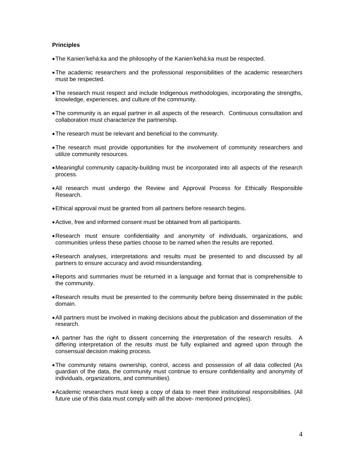#### **Principles**

- The Kanien'kehá:ka and the philosophy of the Kanien'kehá:ka must be respected.
- The academic researchers and the professional responsibilities of the academic researchers must be respected.
- The research must respect and include Indigenous methodologies, incorporating the strengths, knowledge, experiences, and culture of the community.
- The community is an equal partner in all aspects of the research. Continuous consultation and collaboration must characterize the partnership.
- The research must be relevant and beneficial to the community.
- The research must provide opportunities for the involvement of community researchers and utilize community resources.
- Meaningful community capacity-building must be incorporated into all aspects of the research process.
- All research must undergo the Review and Approval Process for Ethically Responsible Research.
- Ethical approval must be granted from all partners before research begins.
- Active, free and informed consent must be obtained from all participants.
- Research must ensure confidentiality and anonymity of individuals, organizations, and communities unless these parties choose to be named when the results are reported.
- Research analyses, interpretations and results must be presented to and discussed by all partners to ensure accuracy and avoid misunderstanding.
- Reports and summaries must be returned in a language and format that is comprehensible to the community.
- Research results must be presented to the community before being disseminated in the public domain.
- All partners must be involved in making decisions about the publication and dissemination of the research.
- A partner has the right to dissent concerning the interpretation of the research results. A differing interpretation of the results must be fully explained and agreed upon through the consensual decision making process.
- The community retains ownership, control, access and possession of all data collected (As guardian of the data, the community must continue to ensure confidentiality and anonymity of individuals, organizations, and communities).
- Academic researchers must keep a copy of data to meet their institutional responsibilities. (All future use of this data must comply with all the above- mentioned principles).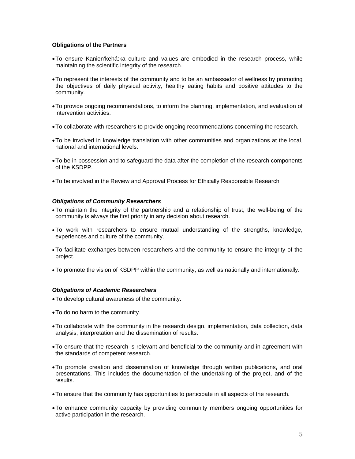#### **Obligations of the Partners**

- To ensure Kanien'kehá:ka culture and values are embodied in the research process, while maintaining the scientific integrity of the research.
- To represent the interests of the community and to be an ambassador of wellness by promoting the objectives of daily physical activity, healthy eating habits and positive attitudes to the community.
- To provide ongoing recommendations, to inform the planning, implementation, and evaluation of intervention activities.
- To collaborate with researchers to provide ongoing recommendations concerning the research.
- To be involved in knowledge translation with other communities and organizations at the local, national and international levels.
- To be in possession and to safeguard the data after the completion of the research components of the KSDPP.
- To be involved in the Review and Approval Process for Ethically Responsible Research

#### *Obligations of Community Researchers*

- •To maintain the integrity of the partnership and a relationship of trust, the well-being of the community is always the first priority in any decision about research.
- •To work with researchers to ensure mutual understanding of the strengths, knowledge, experiences and culture of the community.
- •To facilitate exchanges between researchers and the community to ensure the integrity of the project.
- •To promote the vision of KSDPP within the community, as well as nationally and internationally.

#### *Obligations of Academic Researchers*

- To develop cultural awareness of the community.
- To do no harm to the community.
- To collaborate with the community in the research design, implementation, data collection, data analysis, interpretation and the dissemination of results.
- To ensure that the research is relevant and beneficial to the community and in agreement with the standards of competent research.
- To promote creation and dissemination of knowledge through written publications, and oral presentations. This includes the documentation of the undertaking of the project, and of the results.
- To ensure that the community has opportunities to participate in all aspects of the research.
- To enhance community capacity by providing community members ongoing opportunities for active participation in the research.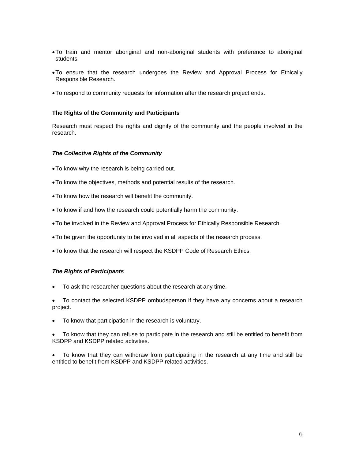- To train and mentor aboriginal and non-aboriginal students with preference to aboriginal students.
- To ensure that the research undergoes the Review and Approval Process for Ethically Responsible Research.
- To respond to community requests for information after the research project ends.

#### **The Rights of the Community and Participants**

Research must respect the rights and dignity of the community and the people involved in the research.

#### *The Collective Rights of the Community*

- To know why the research is being carried out.
- To know the objectives, methods and potential results of the research.
- To know how the research will benefit the community.
- To know if and how the research could potentially harm the community.
- To be involved in the Review and Approval Process for Ethically Responsible Research.
- To be given the opportunity to be involved in all aspects of the research process.
- To know that the research will respect the KSDPP Code of Research Ethics.

# *The Rights of Participants*

• To ask the researcher questions about the research at any time.

• To contact the selected KSDPP ombudsperson if they have any concerns about a research project.

• To know that participation in the research is voluntary.

• To know that they can refuse to participate in the research and still be entitled to benefit from KSDPP and KSDPP related activities.

• To know that they can withdraw from participating in the research at any time and still be entitled to benefit from KSDPP and KSDPP related activities.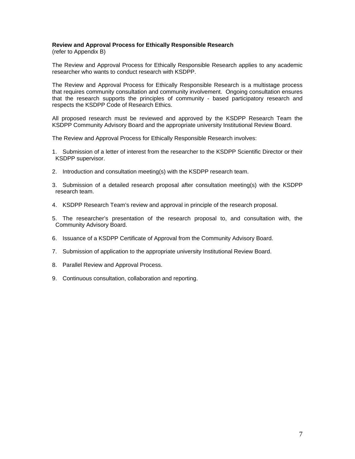# **Review and Approval Process for Ethically Responsible Research**

(refer to Appendix B)

The Review and Approval Process for Ethically Responsible Research applies to any academic researcher who wants to conduct research with KSDPP.

The Review and Approval Process for Ethically Responsible Research is a multistage process that requires community consultation and community involvement. Ongoing consultation ensures that the research supports the principles of community - based participatory research and respects the KSDPP Code of Research Ethics.

All proposed research must be reviewed and approved by the KSDPP Research Team the KSDPP Community Advisory Board and the appropriate university Institutional Review Board.

The Review and Approval Process for Ethically Responsible Research involves:

- 1. Submission of a letter of interest from the researcher to the KSDPP Scientific Director or their KSDPP supervisor.
- 2. Introduction and consultation meeting(s) with the KSDPP research team.
- 3. Submission of a detailed research proposal after consultation meeting(s) with the KSDPP research team.
- 4. KSDPP Research Team's review and approval in principle of the research proposal.
- 5. The researcher's presentation of the research proposal to, and consultation with, the Community Advisory Board.
- 6. Issuance of a KSDPP Certificate of Approval from the Community Advisory Board.
- 7. Submission of application to the appropriate university Institutional Review Board.
- 8. Parallel Review and Approval Process.
- 9. Continuous consultation, collaboration and reporting.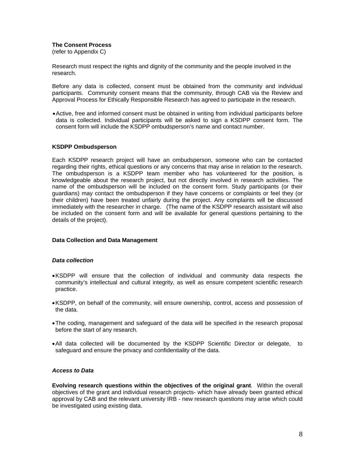#### **The Consent Process**

(refer to Appendix C)

Research must respect the rights and dignity of the community and the people involved in the research.

Before any data is collected, consent must be obtained from the community and individual participants. Community consent means that the community, through CAB via the Review and Approval Process for Ethically Responsible Research has agreed to participate in the research.

• Active, free and informed consent must be obtained in writing from individual participants before data is collected. Individual participants will be asked to sign a KSDPP consent form. The consent form will include the KSDPP ombudsperson's name and contact number.

#### **KSDPP Ombudsperson**

Each KSDPP research project will have an ombudsperson, someone who can be contacted regarding their rights, ethical questions or any concerns that may arise in relation to the research. The ombudsperson is a KSDPP team member who has volunteered for the position, is knowledgeable about the research project, but not directly involved in research activities. The name of the ombudsperson will be included on the consent form. Study participants (or their guardians) may contact the ombudsperson if they have concerns or complaints or feel they (or their children) have been treated unfairly during the project. Any complaints will be discussed immediately with the researcher in charge. (The name of the KSDPP research assistant will also be included on the consent form and will be available for general questions pertaining to the details of the project).

#### **Data Collection and Data Management**

#### *Data collection*

- KSDPP will ensure that the collection of individual and community data respects the community's intellectual and cultural integrity, as well as ensure competent scientific research practice.
- KSDPP, on behalf of the community, will ensure ownership, control, access and possession of the data.
- The coding, management and safeguard of the data will be specified in the research proposal before the start of any research.
- All data collected will be documented by the KSDPP Scientific Director or delegate, to safeguard and ensure the privacy and confidentiality of the data.

#### *Access to Data*

**Evolving research questions within the objectives of the original grant**. Within the overall objectives of the grant and individual research projects- which have already been granted ethical approval by CAB and the relevant university IRB - new research questions may arise which could be investigated using existing data.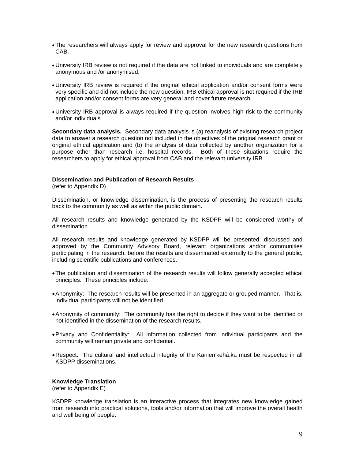- •The researchers will always apply for review and approval for the new research questions from CAB.
- University IRB review is not required if the data are not linked to individuals and are completely anonymous and /or anonymised.
- University IRB review is required if the original ethical application and/or consent forms were very specific and did not include the new question. IRB ethical approval is not required if the IRB application and/or consent forms are very general and cover future research.
- University IRB approval is always required if the question involves high risk to the community and/or individuals.

**Secondary data analysis.** Secondary data analysis is (a) reanalysis of existing research project data to answer a research question not included in the objectives of the original research grant or original ethical application and (b) the analysis of data collected by another organization for a purpose other than research i.e. hospital records. Both of these situations require the researchers to apply for ethical approval from CAB and the relevant university IRB.

#### **Dissemination and Publication of Research Results**

(refer to Appendix D)

Dissemination, or knowledge dissemination, is the process of presenting the research results back to the community as well as within the public domain**.** 

All research results and knowledge generated by the KSDPP will be considered worthy of dissemination.

All research results and knowledge generated by KSDPP will be presented, discussed and approved by the Community Advisory Board, relevant organizations and/or communities participating in the research, before the results are disseminated externally to the general public, including scientific publications and conferences.

- The publication and dissemination of the research results will follow generally accepted ethical principles. These principles include:
- Anonymity: The research results will be presented in an aggregate or grouped manner. That is, individual participants will not be identified.
- Anonymity of community: The community has the right to decide if they want to be identified or not identified in the dissemination of the research results.
- Privacy and Confidentiality: All information collected from individual participants and the community will remain private and confidential.
- Respect: The cultural and intellectual integrity of the Kanien'kehá:ka must be respected in all KSDPP disseminations.

#### **Knowledge Translation**

(refer to Appendix E)

KSDPP knowledge translation is an interactive process that integrates new knowledge gained from research into practical solutions, tools and/or information that will improve the overall health and well being of people.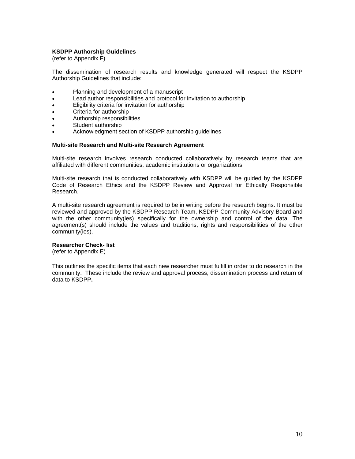#### **KSDPP Authorship Guidelines**

(refer to Appendix F)

The dissemination of research results and knowledge generated will respect the KSDPP Authorship Guidelines that include:

- Planning and development of a manuscript
- Lead author responsibilities and protocol for invitation to authorship
- Eligibility criteria for invitation for authorship
- Criteria for authorship
- Authorship responsibilities
- Student authorship
- Acknowledgment section of KSDPP authorship guidelines

#### **Multi-site Research and Multi-site Research Agreement**

Multi-site research involves research conducted collaboratively by research teams that are affiliated with different communities, academic institutions or organizations.

Multi-site research that is conducted collaboratively with KSDPP will be guided by the KSDPP Code of Research Ethics and the KSDPP Review and Approval for Ethically Responsible Research.

A multi-site research agreement is required to be in writing before the research begins. It must be reviewed and approved by the KSDPP Research Team, KSDPP Community Advisory Board and with the other community(ies) specifically for the ownership and control of the data. The agreement(s) should include the values and traditions, rights and responsibilities of the other community(ies).

#### **Researcher Check- list**

(refer to Appendix E)

This outlines the specific items that each new researcher must fulfill in order to do research in the community. These include the review and approval process, dissemination process and return of data to KSDPP**.**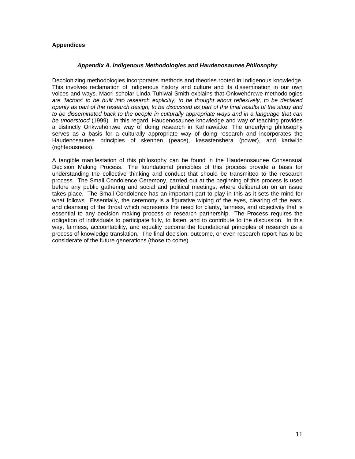# **Appendices**

### *Appendix A. Indigenous Methodologies and Haudenosaunee Philosophy*

Decolonizing methodologies incorporates methods and theories rooted in Indigenous knowledge. This involves reclamation of Indigenous history and culture and its dissemination in our own voices and ways. Maori scholar Linda Tuhiwai Smith explains that Onkwehón:we methodologies *are 'factors' to be built into research explicitly, to be thought about reflexively, to be declared openly as part of the research design, to be discussed as part of the final results of the study and to be disseminated back to the people in culturally appropriate ways and in a language that can be understood* (1999). In this regard, Haudenosaunee knowledge and way of teaching provides a distinctly Onkwehón:we way of doing research in Kahnawá:ke. The underlying philosophy serves as a basis for a culturally appropriate way of doing research and incorporates the Haudenosaunee principles of skennen (peace), kasastenshera (power), and kariwi:io (righteousness).

A tangible manifestation of this philosophy can be found in the Haudenosaunee Consensual Decision Making Process. The foundational principles of this process provide a basis for understanding the collective thinking and conduct that should be transmitted to the research process. The Small Condolence Ceremony, carried out at the beginning of this process is used before any public gathering and social and political meetings, where deliberation on an issue takes place. The Small Condolence has an important part to play in this as it sets the mind for what follows. Essentially, the ceremony is a figurative wiping of the eyes, clearing of the ears, and cleansing of the throat which represents the need for clarity, fairness, and objectivity that is essential to any decision making process or research partnership. The Process requires the obligation of individuals to participate fully, to listen, and to contribute to the discussion. In this way, fairness, accountability, and equality become the foundational principles of research as a process of knowledge translation. The final decision, outcome, or even research report has to be considerate of the future generations (those to come).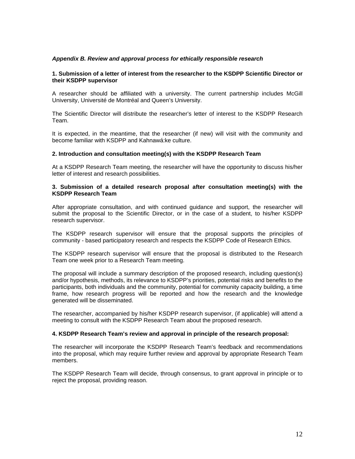#### *Appendix B. Review and approval process for ethically responsible research*

#### **1. Submission of a letter of interest from the researcher to the KSDPP Scientific Director or their KSDPP supervisor**

A researcher should be affiliated with a university. The current partnership includes McGill University, Université de Montréal and Queen's University.

The Scientific Director will distribute the researcher's letter of interest to the KSDPP Research Team.

It is expected, in the meantime, that the researcher (if new) will visit with the community and become familiar with KSDPP and Kahnawá:ke culture.

#### **2. Introduction and consultation meeting(s) with the KSDPP Research Team**

At a KSDPP Research Team meeting, the researcher will have the opportunity to discuss his/her letter of interest and research possibilities.

#### **3. Submission of a detailed research proposal after consultation meeting(s) with the KSDPP Research Team**

After appropriate consultation, and with continued guidance and support, the researcher will submit the proposal to the Scientific Director, or in the case of a student, to his/her KSDPP research supervisor.

The KSDPP research supervisor will ensure that the proposal supports the principles of community - based participatory research and respects the KSDPP Code of Research Ethics.

The KSDPP research supervisor will ensure that the proposal is distributed to the Research Team one week prior to a Research Team meeting.

The proposal will include a summary description of the proposed research, including question(s) and/or hypothesis, methods, its relevance to KSDPP's priorities, potential risks and benefits to the participants, both individuals and the community, potential for community capacity building, a time frame, how research progress will be reported and how the research and the knowledge generated will be disseminated.

The researcher, accompanied by his/her KSDPP research supervisor, (if applicable) will attend a meeting to consult with the KSDPP Research Team about the proposed research.

#### **4. KSDPP Research Team's review and approval in principle of the research proposal:**

The researcher will incorporate the KSDPP Research Team's feedback and recommendations into the proposal, which may require further review and approval by appropriate Research Team members.

The KSDPP Research Team will decide, through consensus, to grant approval in principle or to reject the proposal, providing reason.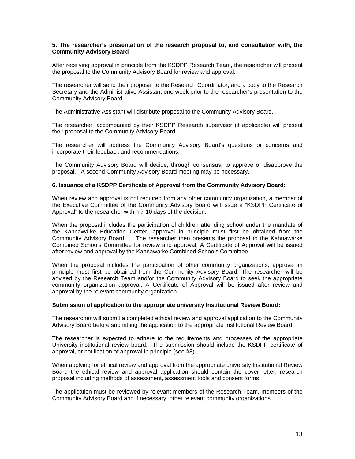#### **5. The researcher's presentation of the research proposal to, and consultation with, the Community Advisory Board**

After receiving approval in principle from the KSDPP Research Team, the researcher will present the proposal to the Community Advisory Board for review and approval.

The researcher will send their proposal to the Research Coordinator, and a copy to the Research Secretary and the Administrative Assistant one week prior to the researcher's presentation to the Community Advisory Board.

The Administrative Assistant will distribute proposal to the Community Advisory Board.

The researcher, accompanied by their KSDPP Research supervisor (if applicable) will present their proposal to the Community Advisory Board.

The researcher will address the Community Advisory Board's questions or concerns and incorporate their feedback and recommendations.

The Community Advisory Board will decide, through consensus, to approve or disapprove the proposal. A second Community Advisory Board meeting may be necessary**.** 

#### **6. Issuance of a KSDPP Certificate of Approval from the Community Advisory Board:**

When review and approval is not required from any other community organization, a member of the Executive Committee of the Community Advisory Board will issue a "KSDPP Certificate of Approval" to the researcher within 7-10 days of the decision.

When the proposal includes the participation of children attending school under the mandate of the Kahnawá:ke Education Center, approval in principle must first be obtained from the Community Advisory Board. The researcher then presents the proposal to the Kahnawá:ke The researcher then presents the proposal to the Kahnawá:ke Combined Schools Committee for review and approval. A Certificate of Approval will be issued after review and approval by the Kahnawá:ke Combined Schools Committee.

When the proposal includes the participation of other community organizations, approval in principle must first be obtained from the Community Advisory Board. The researcher will be advised by the Research Team and/or the Community Advisory Board to seek the appropriate community organization approval. A Certificate of Approval will be issued after review and approval by the relevant community organization.

#### **Submission of application to the appropriate university Institutional Review Board:**

The researcher will submit a completed ethical review and approval application to the Community Advisory Board before submitting the application to the appropriate Institutional Review Board.

The researcher is expected to adhere to the requirements and processes of the appropriate University institutional review board. The submission should include the KSDPP certificate of approval, or notification of approval in principle (see #8).

When applying for ethical review and approval from the appropriate university Institutional Review Board the ethical review and approval application should contain the cover letter, research proposal including methods of assessment, assessment tools and consent forms.

The application must be reviewed by relevant members of the Research Team, members of the Community Advisory Board and if necessary, other relevant community organizations.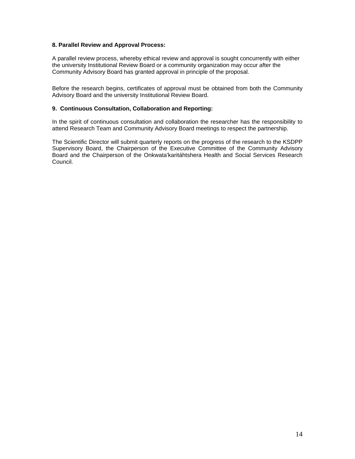# **8. Parallel Review and Approval Process:**

A parallel review process, whereby ethical review and approval is sought concurrently with either the university Institutional Review Board or a community organization may occur after the Community Advisory Board has granted approval in principle of the proposal.

Before the research begins, certificates of approval must be obtained from both the Community Advisory Board and the university Institutional Review Board.

# **9. Continuous Consultation, Collaboration and Reporting:**

In the spirit of continuous consultation and collaboration the researcher has the responsibility to attend Research Team and Community Advisory Board meetings to respect the partnership.

The Scientific Director will submit quarterly reports on the progress of the research to the KSDPP Supervisory Board, the Chairperson of the Executive Committee of the Community Advisory Board and the Chairperson of the Onkwata'karitáhtshera Health and Social Services Research Council.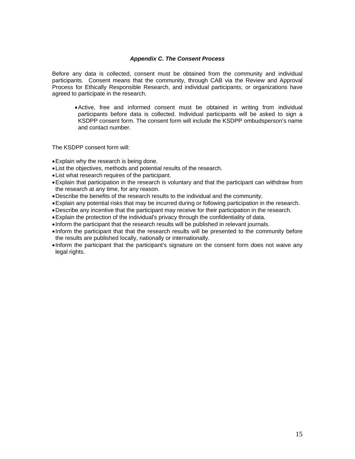#### *Appendix C. The Consent Process*

Before any data is collected, consent must be obtained from the community and individual participants. Consent means that the community, through CAB via the Review and Approval Process for Ethically Responsible Research, and individual participants, or organizations have agreed to participate in the research.

• Active, free and informed consent must be obtained in writing from individual participants before data is collected. Individual participants will be asked to sign a KSDPP consent form. The consent form will include the KSDPP ombudsperson's name and contact number.

The KSDPP consent form will:

- Explain why the research is being done.
- List the objectives, methods and potential results of the research.
- List what research requires of the participant.
- Explain that participation in the research is voluntary and that the participant can withdraw from the research at any time, for any reason.
- Describe the benefits of the research results to the individual and the community.
- Explain any potential risks that may be incurred during or following participation in the research.
- Describe any incentive that the participant may receive for their participation in the research.
- Explain the protection of the individual's privacy through the confidentiality of data.
- Inform the participant that the research results will be published in relevant journals.
- Inform the participant that that the research results will be presented to the community before the results are published locally, nationally or internationally.
- Inform the participant that the participant's signature on the consent form does not waive any legal rights.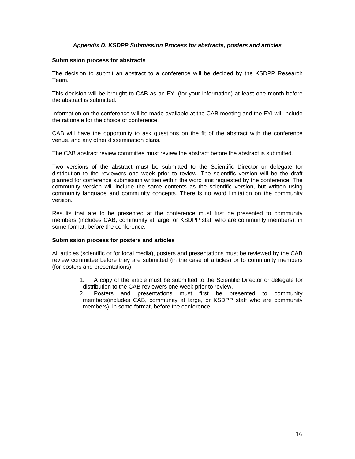# *Appendix D. KSDPP Submission Process for abstracts, posters and articles*

#### **Submission process for abstracts**

The decision to submit an abstract to a conference will be decided by the KSDPP Research Team.

This decision will be brought to CAB as an FYI (for your information) at least one month before the abstract is submitted.

Information on the conference will be made available at the CAB meeting and the FYI will include the rationale for the choice of conference.

CAB will have the opportunity to ask questions on the fit of the abstract with the conference venue, and any other dissemination plans.

The CAB abstract review committee must review the abstract before the abstract is submitted.

Two versions of the abstract must be submitted to the Scientific Director or delegate for distribution to the reviewers one week prior to review. The scientific version will be the draft planned for conference submission written within the word limit requested by the conference. The community version will include the same contents as the scientific version, but written using community language and community concepts. There is no word limitation on the community version.

Results that are to be presented at the conference must first be presented to community members (includes CAB, community at large, or KSDPP staff who are community members), in some format, before the conference.

#### **Submission process for posters and articles**

All articles (scientific or for local media), posters and presentations must be reviewed by the CAB review committee before they are submitted (in the case of articles) or to community members (for posters and presentations).

- 1. A copy of the article must be submitted to the Scientific Director or delegate for distribution to the CAB reviewers one week prior to review.
- 2. Posters and presentations must first be presented to community members(includes CAB, community at large, or KSDPP staff who are community members), in some format, before the conference.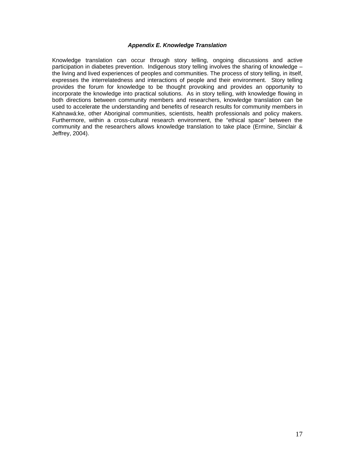#### *Appendix E. Knowledge Translation*

Knowledge translation can occur through story telling, ongoing discussions and active participation in diabetes prevention. Indigenous story telling involves the sharing of knowledge – the living and lived experiences of peoples and communities. The process of story telling, in itself, expresses the interrelatedness and interactions of people and their environment. Story telling provides the forum for knowledge to be thought provoking and provides an opportunity to incorporate the knowledge into practical solutions. As in story telling, with knowledge flowing in both directions between community members and researchers, knowledge translation can be used to accelerate the understanding and benefits of research results for community members in Kahnawá:ke, other Aboriginal communities, scientists, health professionals and policy makers. Furthermore, within a cross-cultural research environment, the "ethical space" between the community and the researchers allows knowledge translation to take place (Ermine, Sinclair & Jeffrey, 2004).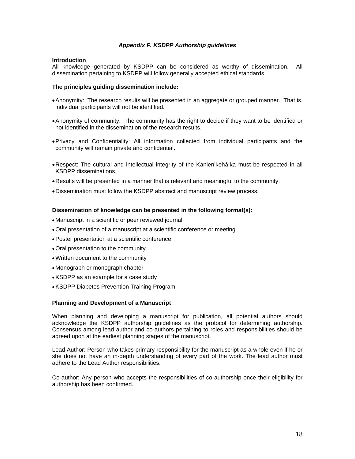#### *Appendix F. KSDPP Authorship guidelines*

#### **Introduction**

All knowledge generated by KSDPP can be considered as worthy of dissemination. All dissemination pertaining to KSDPP will follow generally accepted ethical standards.

#### **The principles guiding dissemination include:**

- Anonymity: The research results will be presented in an aggregate or grouped manner. That is, individual participants will not be identified.
- Anonymity of community: The community has the right to decide if they want to be identified or not identified in the dissemination of the research results.
- Privacy and Confidentiality: All information collected from individual participants and the community will remain private and confidential.
- Respect: The cultural and intellectual integrity of the Kanien'kehá:ka must be respected in all KSDPP disseminations.
- Results will be presented in a manner that is relevant and meaningful to the community.
- Dissemination must follow the KSDPP abstract and manuscript review process.

#### **Dissemination of knowledge can be presented in the following format(s):**

- Manuscript in a scientific or peer reviewed journal
- •Oral presentation of a manuscript at a scientific conference or meeting
- •Poster presentation at a scientific conference
- •Oral presentation to the community
- •Written document to the community
- Monograph or monograph chapter
- •KSDPP as an example for a case study
- •KSDPP Diabetes Prevention Training Program

#### **Planning and Development of a Manuscript**

When planning and developing a manuscript for publication, all potential authors should acknowledge the KSDPP authorship guidelines as the protocol for determining authorship. Consensus among lead author and co-authors pertaining to roles and responsibilities should be agreed upon at the earliest planning stages of the manuscript.

Lead Author: Person who takes primary responsibility for the manuscript as a whole even if he or she does not have an in-depth understanding of every part of the work. The lead author must adhere to the Lead Author responsibilities.

Co-author: Any person who accepts the responsibilities of co-authorship once their eligibility for authorship has been confirmed.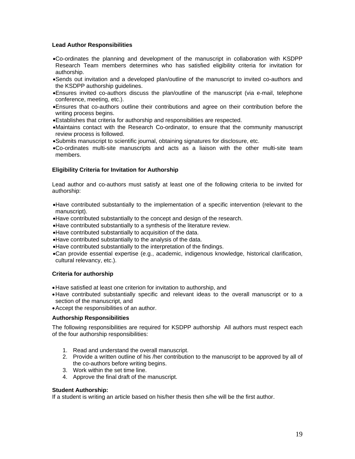### **Lead Author Responsibilities**

- •Co-ordinates the planning and development of the manuscript in collaboration with KSDPP Research Team members determines who has satisfied eligibility criteria for invitation for authorship.
- •Sends out invitation and a developed plan/outline of the manuscript to invited co-authors and the KSDPP authorship guidelines.
- •Ensures invited co-authors discuss the plan/outline of the manuscript (via e-mail, telephone conference, meeting, etc.).
- •Ensures that co-authors outline their contributions and agree on their contribution before the writing process begins.
- •Establishes that criteria for authorship and responsibilities are respected.
- •Maintains contact with the Research Co-ordinator, to ensure that the community manuscript review process is followed.
- •Submits manuscript to scientific journal, obtaining signatures for disclosure, etc.
- •Co-ordinates multi-site manuscripts and acts as a liaison with the other multi-site team members.

# **Eligibility Criteria for Invitation for Authorship**

Lead author and co-authors must satisfy at least one of the following criteria to be invited for authorship:

- •Have contributed substantially to the implementation of a specific intervention (relevant to the manuscript).
- •Have contributed substantially to the concept and design of the research.
- •Have contributed substantially to a synthesis of the literature review.
- •Have contributed substantially to acquisition of the data.
- •Have contributed substantially to the analysis of the data.
- •Have contributed substantially to the interpretation of the findings.
- •Can provide essential expertise (e.g., academic, indigenous knowledge, historical clarification, cultural relevancy, etc.).

#### **Criteria for authorship**

- Have satisfied at least one criterion for invitation to authorship, and
- Have contributed substantially specific and relevant ideas to the overall manuscript or to a section of the manuscript, and
- Accept the responsibilities of an author.

#### **Authorship Responsibilities**

The following responsibilities are required for KSDPP authorship All authors must respect each of the four authorship responsibilities:

- 1. Read and understand the overall manuscript.
- 2. Provide a written outline of his /her contribution to the manuscript to be approved by all of the co-authors before writing begins.
- 3. Work within the set time line.
- 4. Approve the final draft of the manuscript.

#### **Student Authorship:**

If a student is writing an article based on his/her thesis then s/he will be the first author.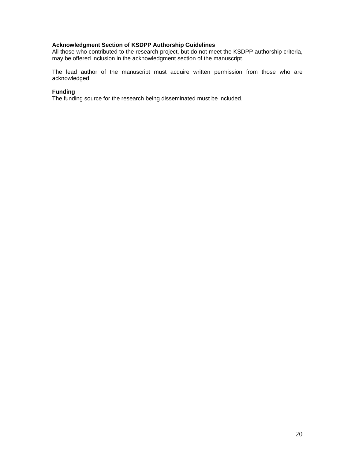# **Acknowledgment Section of KSDPP Authorship Guidelines**

All those who contributed to the research project, but do not meet the KSDPP authorship criteria, may be offered inclusion in the acknowledgment section of the manuscript.

The lead author of the manuscript must acquire written permission from those who are acknowledged.

#### **Funding**

The funding source for the research being disseminated must be included.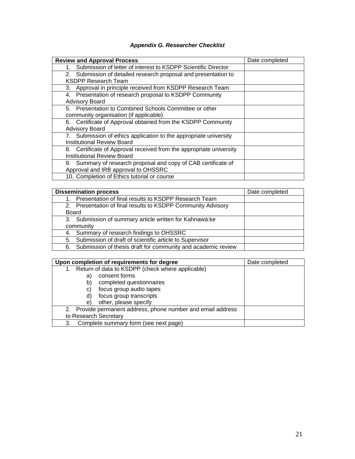# *Appendix G. Researcher Checklist*

| <b>Review and Approval Process</b>                                  | Date completed |
|---------------------------------------------------------------------|----------------|
| Submission of letter of interest to KSDPP Scientific Director<br>1. |                |
| 2. Submission of detailed research proposal and presentation to     |                |
| <b>KSDPP Research Team</b>                                          |                |
| 3. Approval in principle received from KSDPP Research Team          |                |
| 4. Presentation of research proposal to KSDPP Community             |                |
| <b>Advisory Board</b>                                               |                |
| 5. Presentation to Combined Schools Committee or other              |                |
| community organisation (if applicable)                              |                |
| 6. Certificate of Approval obtained from the KSDPP Community        |                |
| <b>Advisory Board</b>                                               |                |
| 7. Submission of ethics application to the appropriate university   |                |
| Institutional Review Board                                          |                |
| 8. Certificate of Approval received from the appropriate university |                |
| <b>Institutional Review Board</b>                                   |                |
| 9. Summary of research proposal and copy of CAB certificate of      |                |
| Approval and IRB approval to OHSSRC                                 |                |
| 10. Completion of Ethics tutorial or course                         |                |

| <b>Dissemination process</b>                                    | Date completed |
|-----------------------------------------------------------------|----------------|
| Presentation of final results to KSDPP Research Team            |                |
| 2. Presentation of final results to KSDPP Community Advisory    |                |
| Board                                                           |                |
| 3. Submission of summary article written for Kahnawá: ke        |                |
| community                                                       |                |
| 4. Summary of research findings to OHSSRC                       |                |
| 5. Submission of draft of scientific article to Supervisor      |                |
| 6. Submission of thesis draft for community and academic review |                |

| Upon completion of requirements for degree                   | Date completed |
|--------------------------------------------------------------|----------------|
| Return of data to KSDPP (check where applicable)<br>1.       |                |
| consent forms<br>a)                                          |                |
| completed questionnaires                                     |                |
| focus group audio tapes<br>C)                                |                |
| focus group transcripts                                      |                |
| other, please specify<br>e)                                  |                |
| 2. Provide permanent address, phone number and email address |                |
| to Research Secretary                                        |                |
| Complete summary form (see next page)<br>3.                  |                |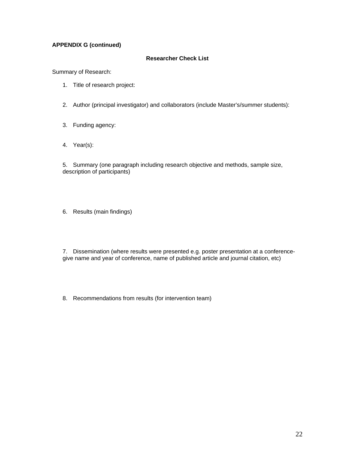# **APPENDIX G (continued)**

#### **Researcher Check List**

Summary of Research:

- 1. Title of research project:
- 2. Author (principal investigator) and collaborators (include Master's/summer students):
- 3. Funding agency:
- 4. Year(s):

5. Summary (one paragraph including research objective and methods, sample size, description of participants)

6. Results (main findings)

7. Dissemination (where results were presented e.g. poster presentation at a conferencegive name and year of conference, name of published article and journal citation, etc)

8. Recommendations from results (for intervention team)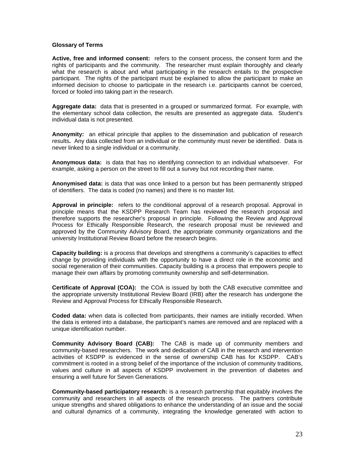#### **Glossary of Terms**

**Active, free and informed consent:** refers to the consent process, the consent form and the rights of participants and the community. The researcher must explain thoroughly and clearly what the research is about and what participating in the research entails to the prospective participant. The rights of the participant must be explained to allow the participant to make an informed decision to choose to participate in the research i.e. participants cannot be coerced, forced or fooled into taking part in the research.

**Aggregate data:** data that is presented in a grouped or summarized format. For example, with the elementary school data collection, the results are presented as aggregate data. Student's individual data is not presented.

**Anonymity:** an ethical principle that applies to the dissemination and publication of research results**.** Any data collected from an individual or the community must never be identified. Data is never linked to a single individual or a community.

**Anonymous data:** is data that has no identifying connection to an individual whatsoever. For example, asking a person on the street to fill out a survey but not recording their name.

**Anonymised data:** is data that was once linked to a person but has been permanently stripped of identifiers. The data is coded (no names) and there is no master list.

**Approval in principle:** refers to the conditional approval of a research proposal. Approval in principle means that the KSDPP Research Team has reviewed the research proposal and therefore supports the researcher's proposal in principle. Following the Review and Approval Process for Ethically Responsible Research, the research proposal must be reviewed and approved by the Community Advisory Board, the appropriate community organizations and the university Institutional Review Board before the research begins.

**Capacity building:** is a process that develops and strengthens a community's capacities to effect change by providing individuals with the opportunity to have a direct role in the economic and social regeneration of their communities. Capacity building is a process that empowers people to manage their own affairs by promoting community ownership and self-determination.

**Certificate of Approval (COA):** the COA is issued by both the CAB executive committee and the appropriate university Institutional Review Board (IRB) after the research has undergone the Review and Approval Process for Ethically Responsible Research.

**Coded data:** when data is collected from participants, their names are initially recorded. When the data is entered into a database, the participant's names are removed and are replaced with a unique identification number.

**Community Advisory Board (CAB):** The CAB is made up of community members and community-based researchers. The work and dedication of CAB in the research and intervention activities of KSDPP is evidenced in the sense of ownership CAB has for KSDPP. CAB's commitment is rooted in a strong belief of the importance of the inclusion of community traditions, values and culture in all aspects of KSDPP involvement in the prevention of diabetes and ensuring a well future for Seven Generations.

**Community-based participatory research:** is a research partnership that equitably involves the community and researchers in all aspects of the research process. The partners contribute unique strengths and shared obligations to enhance the understanding of an issue and the social and cultural dynamics of a community, integrating the knowledge generated with action to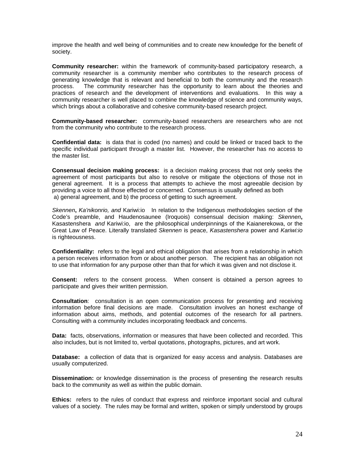improve the health and well being of communities and to create new knowledge for the benefit of society.

**Community researcher:** within the framework of community-based participatory research, a community researcher is a community member who contributes to the research process of generating knowledge that is relevant and beneficial to both the community and the research process. The community researcher has the opportunity to learn about the theories and practices of research and the development of interventions and evaluations. In this way a community researcher is well placed to combine the knowledge of science and community ways, which brings about a collaborative and cohesive community-based research project.

**Community-based researcher:** community-based researchers are researchers who are not from the community who contribute to the research process.

**Confidential data:** is data that is coded (no names) and could be linked or traced back to the specific individual participant through a master list. However, the researcher has no access to the master list.

**Consensual decision making process:** is a decision making process that not only seeks the agreement of most participants but also to resolve or mitigate the objections of those not in general agreement. It is a process that attempts to achieve the most agreeable decision by providing a voice to all those effected or concerned. Consensus is usually defined as both a) general agreement, and b) the process of getting to such agreement.

*Skennen***,** *Ka'nikonrio, and* Kariwi:io In relation to the Indigenous methodologies section of the Code's preamble, and Haudenosaunee (Iroquois) consensual decision making: *Skennen***,** Kasastenshera *and* Kariwi:io, are the philosophical underpinnings of the Kaianerekowa, or the Great Law of Peace. Literally translated *Skennen* is peace, *Kasastenshera* power and *Kariwi:io*  is righteousness.

**Confidentiality:** refers to the legal and ethical obligation that arises from a relationship in which a person receives information from or about another person. The recipient has an obligation not to use that information for any purpose other than that for which it was given and not disclose it.

**Consent:** refers to the consent process. When consent is obtained a person agrees to participate and gives their written permission.

**Consultation**: consultation is an open communication process for presenting and receiving information before final decisions are made. Consultation involves an honest exchange of information about aims, methods, and potential outcomes of the research for all partners. Consulting with a community includes incorporating feedback and concerns.

**Data:** facts, observations, information or measures that have been collected and recorded. This also includes, but is not limited to, verbal quotations, photographs, pictures, and art work.

**Database:** a collection of data that is organized for easy access and analysis. Databases are usually computerized.

**Dissemination:** or knowledge dissemination is the process of presenting the research results back to the community as well as within the public domain.

**Ethics:** refers to the rules of conduct that express and reinforce important social and cultural values of a society. The rules may be formal and written, spoken or simply understood by groups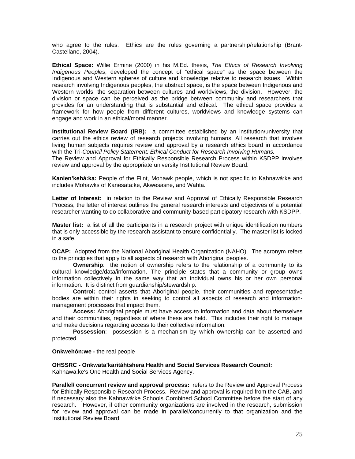who agree to the rules. Ethics are the rules governing a partnership/relationship (Brant-Castellano, 2004).

**Ethical Space:** Willie Ermine (2000) in his M.Ed. thesis, *The Ethics of Research Involving Indigenous Peoples*, developed the concept of "ethical space" as the space between the Indigenous and Western spheres of culture and knowledge relative to research issues. Within research involving Indigenous peoples, the abstract space, is the space between Indigenous and Western worlds, the separation between cultures and worldviews, the division. However, the division or space can be perceived as the bridge between community and researchers that provides for an understanding that is substantial and ethical. The ethical space provides a framework for how people from different cultures, worldviews and knowledge systems can engage and work in an ethical/moral manner.

**Institutional Review Board (IRB):** a committee established by an institution/university that carries out the ethics review of research projects involving humans. All research that involves living human subjects requires review and approval by a research ethics board in accordance with the Tri*-Council Policy Statement: Ethical Conduct for Research Involving Humans.*

The Review and Approval for Ethically Responsible Research Process within KSDPP involves review and approval by the appropriate university Institutional Review Board.

**Kanien'kehá:ka:** People of the Flint, Mohawk people, which is not specific to Kahnawá:ke and includes Mohawks of Kanesata:ke, Akwesasne, and Wahta.

**Letter of Interest:** in relation to the Review and Approval of Ethically Responsible Research Process, the letter of interest outlines the general research interests and objectives of a potential researcher wanting to do collaborative and community-based participatory research with KSDPP.

**Master list:** a list of all the participants in a research project with unique identification numbers that is only accessible by the research assistant to ensure confidentially. The master list is locked in a safe.

**OCAP:** Adopted from the National Aboriginal Health Organization (NAHO). The acronym refers to the principles that apply to all aspects of research with Aboriginal peoples.

**Ownership**: the notion of ownership refers to the relationship of a community to its cultural knowledge/data/information. The principle states that a community or group owns information collectively in the same way that an individual owns his or her own personal information. It is distinct from guardianship/stewardship.

**Control:** control asserts that Aboriginal people, their communities and representative bodies are within their rights in seeking to control all aspects of research and informationmanagement processes that impact them.

**Access:** Aboriginal people must have access to information and data about themselves and their communities, regardless of where these are held. This includes their right to manage and make decisions regarding access to their collective information.

**Possession**: possession is a mechanism by which ownership can be asserted and protected.

**Onkwehón:we -** the real people

#### **OHSSRC - Onkwata'karitáhtshera Health and Social Services Research Council:**

Kahnawa:ke's One Health and Social Services Agency.

**Parallel/ concurrent review and approval process:** refers to the Review and Approval Process for Ethically Responsible Research Process. Review and approval is required from the CAB, and if necessary also the Kahnawá:ke Schools Combined School Committee before the start of any research. However, if other community organizations are involved in the research, submission for review and approval can be made in parallel/concurrently to that organization and the Institutional Review Board.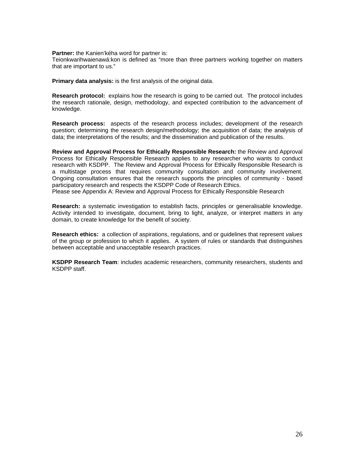**Partner:** the Kanien'kéha word for partner is:

Teionkwarihwaienawá:kon is defined as "more than three partners working together on matters that are important to us."

**Primary data analysis:** is the first analysis of the original data.

**Research protocol:** explains how the research is going to be carried out. The protocol includes the research rationale, design, methodology, and expected contribution to the advancement of knowledge.

**Research process:** aspects of the research process includes; development of the research question; determining the research design/methodology; the acquisition of data; the analysis of data; the interpretations of the results; and the dissemination and publication of the results.

**Review and Approval Process for Ethically Responsible Research:** the Review and Approval Process for Ethically Responsible Research applies to any researcher who wants to conduct research with KSDPP. The Review and Approval Process for Ethically Responsible Research is a multistage process that requires community consultation and community involvement. Ongoing consultation ensures that the research supports the principles of community - based participatory research and respects the KSDPP Code of Research Ethics.

Please see Appendix A: Review and Approval Process for Ethically Responsible Research

**Research:** a systematic investigation to establish facts, principles or generalisable knowledge. Activity intended to investigate, document, bring to light, analyze, or interpret matters in any domain, to create knowledge for the benefit of society.

**Research ethics:** a collection of aspirations, regulations, and or guidelines that represent *values* of the group or profession to which it applies. A system of rules or standards that distinguishes between acceptable and unacceptable research practices.

**KSDPP Research Team**: includes academic researchers, community researchers, students and KSDPP staff.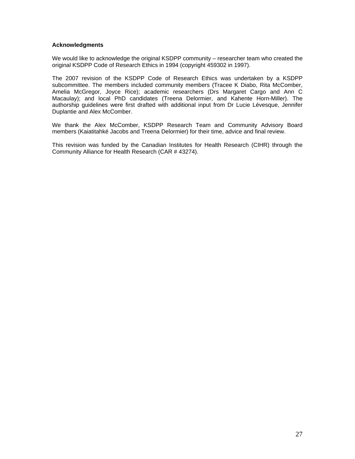#### **Acknowledgments**

We would like to acknowledge the original KSDPP community – researcher team who created the original KSDPP Code of Research Ethics in 1994 (copyright 459302 in 1997).

The 2007 revision of the KSDPP Code of Research Ethics was undertaken by a KSDPP subcommittee. The members included community members (Tracee K Diabo, Rita McComber, Amelia McGregor, Joyce Rice); academic researchers (Drs Margaret Cargo and Ann C Macaulay); and local PhD candidates (Treena Delormier, and Kahente Horn-Miller). The authorship guidelines were first drafted with additional input from Dr Lucie Lévesque, Jennifer Duplantie and Alex McComber.

We thank the Alex McComber, KSDPP Research Team and Community Advisory Board members (Kaiatitahké Jacobs and Treena Delormier) for their time, advice and final review.

This revision was funded by the Canadian Institutes for Health Research (CIHR) through the Community Alliance for Health Research (CAR # 43274).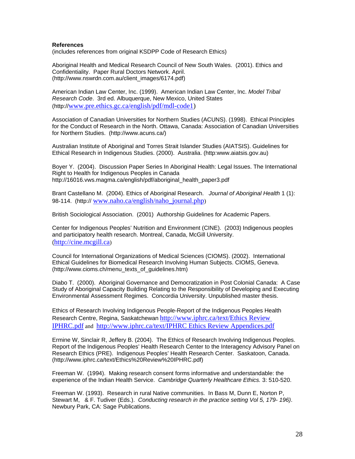#### **References**

(includes references from original KSDPP Code of Research Ethics)

Aboriginal Health and Medical Research Council of New South Wales. (2001). Ethics and Confidentiality. Paper Rural Doctors Network. April. (http://www.nswrdn.com.au/client\_images/6174.pdf)

American Indian Law Center, Inc. (1999). American Indian Law Center, Inc. *Model Tribal Research Code*. 3rd ed. Albuquerque, New Mexico, United States (http://www.pre.ethics.gc.ca/english/pdf/mdl-code1)

Association of Canadian Universities for Northern Studies (ACUNS). (1998). Ethical Principles for the Conduct of Research in the North. Ottawa, Canada: Association of Canadian Universities for Northern Studies. (http://www.acuns.ca/)

Australian Institute of Aboriginal and Torres Strait Islander Studies (AIATSIS). Guidelines for Ethical Research in Indigenous Studies. (2000). Australia. (http:www.aiatsis.gov.au)

Boyer Y. (2004). Discussion Paper Series In Aboriginal Health: Legal Issues. The International Right to Health for Indigenous Peoples in Canada http://16016.vws.magma.ca/english/pdf/aboriginal\_health\_paper3.pdf

Brant Castellano M. (2004). Ethics of Aboriginal Research. *Journal of Aboriginal Health* 1 (1): 98-114. (http:// www.naho.ca/english/naho\_journal.php)

British Sociological Association. (2001) Authorship Guidelines for Academic Papers.

Center for Indigenous Peoples' Nutrition and Environment (CINE). (2003) Indigenous peoples and participatory health research. Montreal, Canada, McGill University. (http://cine.mcgill.ca)

Council for International Organizations of Medical Sciences (CIOMS). (2002). International Ethical Guidelines for Biomedical Research Involving Human Subjects. CIOMS, Geneva. (http://www.cioms.ch/menu\_texts\_of\_guidelines.htm)

Diabo T. (2000). Aboriginal Governance and Democratization in Post Colonial Canada: A Case Study of Aboriginal Capacity Building Relating to the Responsibility of Developing and Executing Environmental Assessment Regimes. Concordia University. Unpublished master thesis.

Ethics of Research Involving Indigenous People-Report of the Indigenous Peoples Health Research Centre, Regina, Saskatchewan http://www.iphrc.ca/text/Ethics Review IPHRC.pdf and http://www.iphrc.ca/text/IPHRC Ethics Review Appendices.pdf

Ermine W, Sinclair R, Jeffery B. (2004). The Ethics of Research Involving Indigenous Peoples. Report of the Indigenous Peoples' Health Research Center to the Interagency Advisory Panel on Research Ethics (PRE). Indigenous Peoples' Health Research Center. Saskatoon, Canada. (http://www.iphrc.ca/text/Ethics%20Review%20IPHRC.pdf)

Freeman W. (1994). Making research consent forms informative and understandable: the experience of the Indian Health Service. *Cambridge Quarterly Healthcare Ethics.* 3: 510-520.

Freeman W. (1993). Research in rural Native communities. In Bass M, Dunn E, Norton P, Stewart M, & F. Tudiver (Eds.). *Conducting research in the practice setting Vol 5, 179- 196)*. Newbury Park, CA: Sage Publications.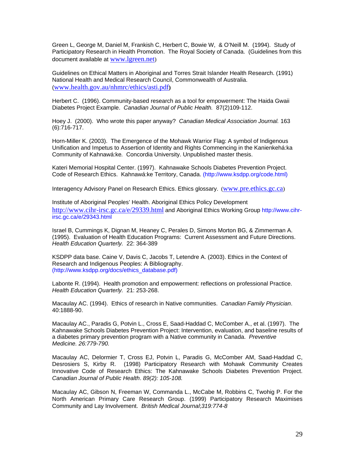Green L, George M, Daniel M, Frankish C, Herbert C, Bowie W, & O'Neill M. (1994). Study of Participatory Research in Health Promotion. The Royal Society of Canada. (Guidelines from this document available at www.lgreen.net)

Guidelines on Ethical Matters in Aboriginal and Torres Strait Islander Health Research. (1991) National Health and Medical Research Council, Commonwealth of Australia. (www.health.gov.au/nhmrc/ethics/asti.pdf**)**

Herbert C. (1996). Community-based research as a tool for empowerment: The Haida Gwaii Diabetes Project Example. *Canadian Journal of Public Health.* 87(2)109-112.

Hoey J. (2000). Who wrote this paper anyway? *Canadian Medical Association Journal.* 163 (6):716-717.

Horn-Miller K. (2003). The Emergence of the Mohawk Warrior Flag: A symbol of Indigenous Unification and Impetus to Assertion of Identity and Rights Commencing in the Kanienkehá:ka Community of Kahnawá:ke*.* Concordia University. Unpublished master thesis.

Kateri Memorial Hospital Center. (1997). Kahnawake Schools Diabetes Prevention Project. Code of Research Ethics. Kahnawá:ke Territory, Canada. (http://www.ksdpp.org/code.html)

Interagency Advisory Panel on Research Ethics. Ethics glossary. (www.pre.ethics.gc.ca)

Institute of Aboriginal Peoples' Health. Aboriginal Ethics Policy Development http://www.cihr-irsc.gc.ca/e/29339.html and Aboriginal Ethics Working Group http://www.cihrirsc.gc.ca/e/29343.html

Israel B, Cummings K, Dignan M, Heaney C, Perales D, Simons Morton BG, & Zimmerman A. (1995). Evaluation of Health Education Programs: Current Assessment and Future Directions. *Health Education Quarterly.* 22: 364-389

KSDPP data base. Caine V, Davis C, Jacobs T, Letendre A. (2003). Ethics in the Context of Research and Indigenous Peoples: A Bibliography. (http://www.ksdpp.org/docs/ethics\_database.pdf)

Labonte R. (1994). Health promotion and empowerment: reflections on professional Practice. *Health Education Quarterly.* 21: 253-268.

Macaulay AC. (1994). Ethics of research in Native communities. *Canadian Family Physician*. 40:1888-90.

Macaulay AC., Paradis G, Potvin L., Cross E, Saad-Haddad C, McComber A., et al. (1997). The Kahnawake Schools Diabetes Prevention Project: Intervention, evaluation, and baseline results of a diabetes primary prevention program with a Native community in Canada. *Preventive Medicine. 26:779-790.* 

Macaulay AC, Delormier T, Cross EJ, Potvin L, Paradis G, McComber AM, Saad-Haddad C, Desrosiers S, Kirby R. (1998) Participatory Research with Mohawk Community Creates Innovative Code of Research Ethics: The Kahnawake Schools Diabetes Prevention Project. *Canadian Journal of Public Health*. *89(2): 105-108.* 

Macaulay AC, Gibson N, Freeman W, Commanda L., McCabe M, Robbins C, Twohig P. For the North American Primary Care Research Group. (1999) Participatory Research Maximises Community and Lay Involvement. *British Medical Journal*;*319:774-8*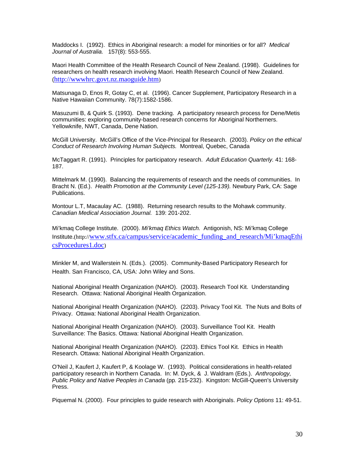Maddocks I. (1992). Ethics in Aboriginal research: a model for minorities or for all? *Medical Journal of Australia.* 157(8): 553-555.

Maori Health Committee of the Health Research Council of New Zealand. (1998). Guidelines for researchers on health research involving Maori. Health Research Council of New Zealand. (http://wwwhrc.govt.nz.maoguide.htm)

Matsunaga D, Enos R, Gotay C, et al. (1996). Cancer Supplement, Participatory Research in a Native Hawaiian Community. 78(7):1582-1586.

Masuzumi B, & Quirk S. (1993). Dene tracking. A participatory research process for Dene/Metis communities: exploring community-based research concerns for Aboriginal Northerners. Yellowknife, NWT, Canada, Dene Nation.

McGill University. McGill's Office of the Vice-Principal for Research. (2003). *Policy on the ethical Conduct of Research Involving Human Subjects.* Montreal, Quebec, Canada

McTaggart R. (1991). Principles for participatory research. *Adult Education Quarterly.* 41: 168- 187.

Mittelmark M. (1990). Balancing the requirements of research and the needs of communities. In Bracht N. (Ed.). *Health Promotion at the Community Level (125-139)*. Newbury Park, CA: Sage Publications.

Montour L.T, Macaulay AC. (1988). Returning research results to the Mohawk community. *Canadian Medical Association Journal.* 139: 201-202.

Mi'kmaq College Institute. (2000). *Mi'kmaq Ethics Watch.* Antigonish, NS: Mi'kmaq College Institute.(http://www.stfx.ca/campus/service/academic\_funding\_and\_research/Mi'kmaqEthi csProcedures1.doc)

Minkler M, and Wallerstein N. (Eds.). (2005). Community-Based Participatory Research for Health. San Francisco, CA, USA: John Wiley and Sons.

National Aboriginal Health Organization (NAHO). (2003). Research Tool Kit. Understanding Research. Ottawa: National Aboriginal Health Organization.

National Aboriginal Health Organization (NAHO). (2203). Privacy Tool Kit. The Nuts and Bolts of Privacy. Ottawa: National Aboriginal Health Organization.

National Aboriginal Health Organization (NAHO). (2003). Surveillance Tool Kit. Health Surveillance: The Basics. Ottawa: National Aboriginal Health Organization.

National Aboriginal Health Organization (NAHO). (2203). Ethics Tool Kit. Ethics in Health Research. Ottawa: National Aboriginal Health Organization.

O'Neil J, Kaufert J, Kaufert P, & Koolage W. (1993). Political considerations in health-related participatory research in Northern Canada. In: M. Dyck, & J. Waldram (Eds.). *Anthropology, Public Policy and Native Peoples in Canada* (pp*.* 215-232). Kingston: McGill-Queen's University Press.

Piquemal N. (2000). Four principles to guide research with Aboriginals. *Policy Options* 11: 49-51.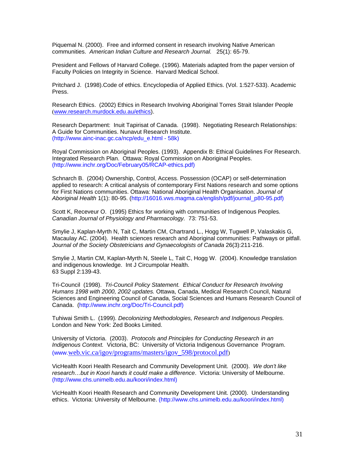Piquemal N. (2000). Free and informed consent in research involving Native American communities. *American Indian Culture and Research Journal.* 25(1): 65-79.

President and Fellows of Harvard College. (1996). Materials adapted from the paper version of Faculty Policies on Integrity in Science. Harvard Medical School.

Pritchard J. (1998).Code of ethics. Encyclopedia of Applied Ethics. (Vol. 1:527-533). Academic Press.

Research Ethics. (2002) Ethics in Research Involving Aboriginal Torres Strait Islander People (www.research.murdock.edu.au/ethics).

Research Department: Inuit Tapirisat of Canada. (1998). Negotiating Research Relationships: A Guide for Communities. Nunavut Research Institute. (http://www.ainc-inac.gc.ca/ncp/edu\_e.html - 58k)

Royal Commission on Aboriginal Peoples. (1993). Appendix B: Ethical Guidelines For Research. Integrated Research Plan. Ottawa: Royal Commission on Aboriginal Peoples. (http://www.inchr.org/Doc/February05/RCAP-ethics.pdf)

Schnarch B. (2004) Ownership, Control, Access. Possession (OCAP) or self-determination applied to research: A critical analysis of contemporary First Nations research and some options for First Nations communities. Ottawa: National Aboriginal Health Organisation. *Journal of Aboriginal Health* 1(1): 80-95. (http://16016.vws.magma.ca/english/pdf/journal\_p80-95.pdf)

Scott K, Receveur O. (1995) Ethics for working with communities of Indigenous Peoples*. Canadian Journal of Physiology and Pharmacol*o*gy.* 73: 751-53.

Smylie J, Kaplan-Myrth N, Tait C, Martin CM, Chartrand L., Hogg W, Tugwell P, Valaskakis G, Macaulay AC. (2004). Health sciences research and Aboriginal communities: Pathways or pitfall. *Journal of the Society Obstetricians and Gynaecologists of Canada* 26(3):211-216.

Smylie J, Martin CM, Kaplan-Myrth N, Steele L, Tait C, Hogg W. (2004). Knowledge translation and indigenous knowledge. Int J Circumpolar Health. 63 Suppl 2:139-43.

Tri-Council (1998). *Tri-Council Policy Statement. Ethical Conduct for Research Involving Humans 1998 with 2000, 2002 updates.* Ottawa, Canada, Medical Research Council, Natural Sciences and Engineering Council of Canada, Social Sciences and Humans Research Council of Canada. (http://www.inchr.org/Doc/Tri-Council.pdf)

Tuhiwai Smith L. (1999). *Decolonizing Methodologies, Research and Indigenous Peoples.*  London and New York: Zed Books Limited.

University of Victoria. (2003). *Protocols and Principles for Conducting Research in an Indigenous Context.* Victoria, BC: University of Victoria Indigenous Governance Program. (www.web.vic.ca/igov/programs/masters/igov\_598/protocol.pdf)

VicHealth Koori Health Research and Community Development Unit. (2000). *We don't like research…but in Koori hands it could make a difference*. Victoria: University of Melbourne. (http://www.chs.unimelb.edu.au/koori/index.html)

VicHealth Koori Health Research and Community Development Unit. (2000). Understanding ethics. Victoria: University of Melbourne. (http://www.chs.unimelb.edu.au/koori/index.html)